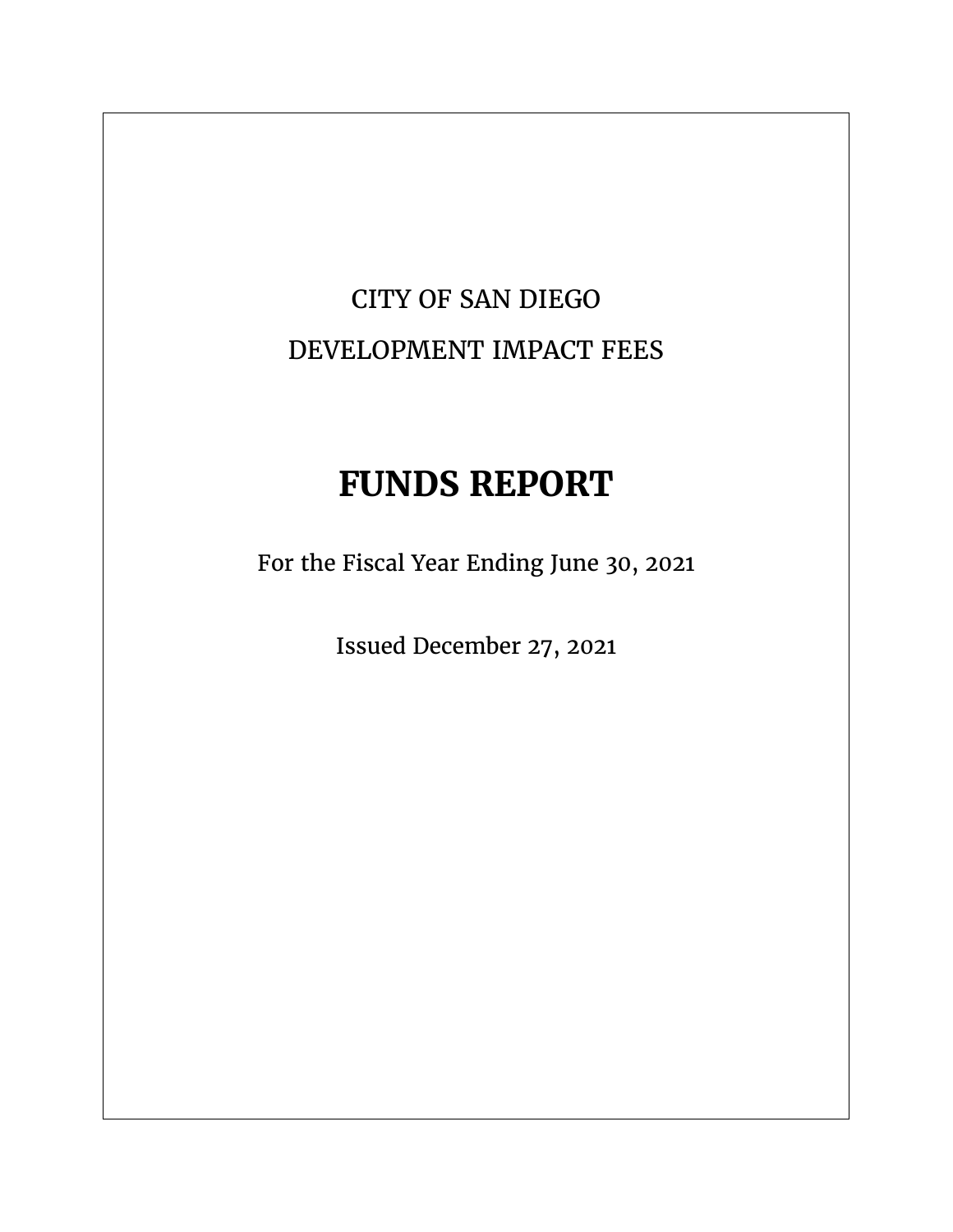## CITY OF SAN DIEGO DEVELOPMENT IMPACT FEES

## **FUNDS REPORT**

For the Fiscal Year Ending June 30, 2021

Issued December 27, 2021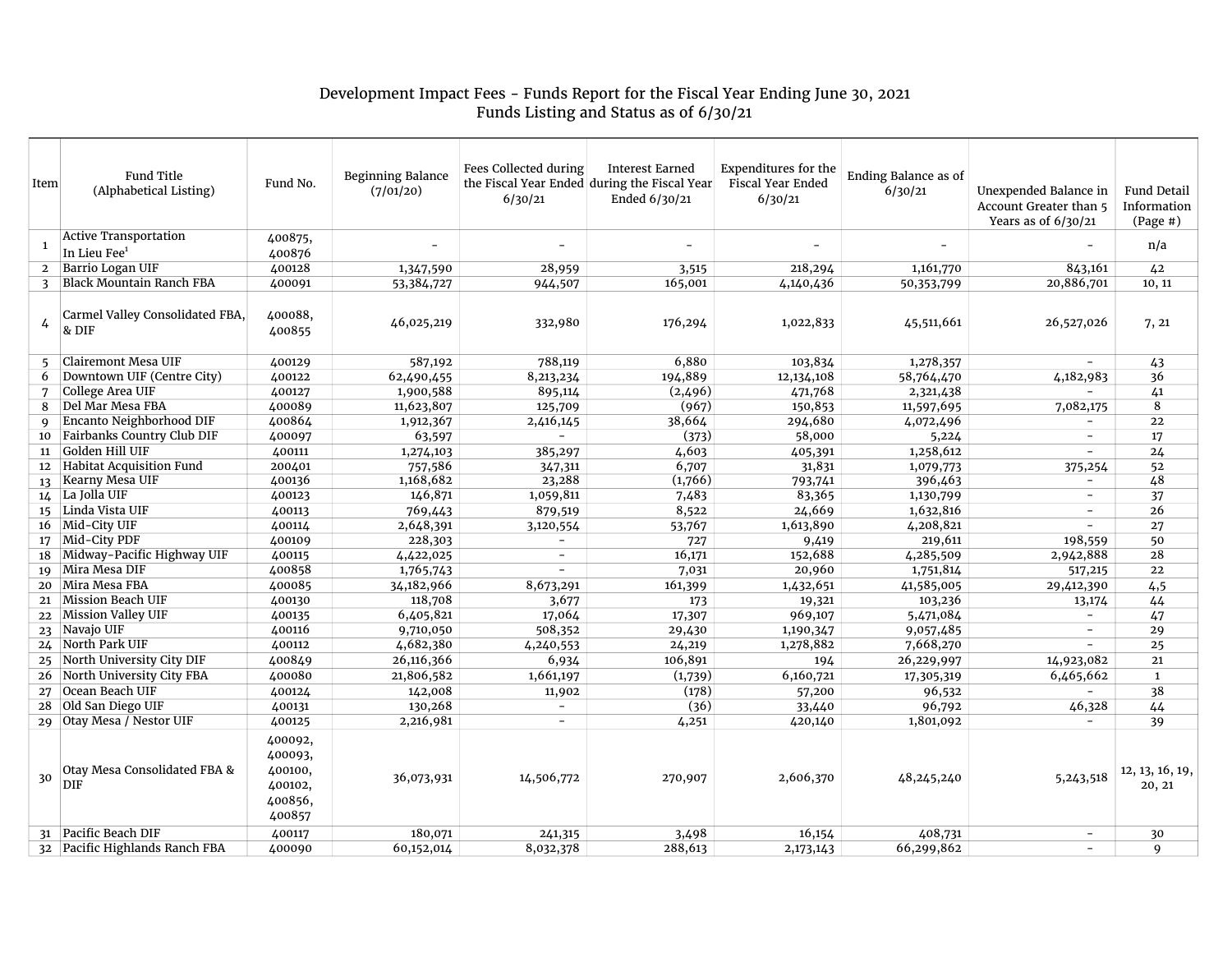## Development Impact Fees - Funds Report for the Fiscal Year Ending June 30, 2021 Funds Listing and Status as of 6/30/21

| Item           | Fund Title<br>(Alphabetical Listing)                     | Fund No.                                                      | <b>Beginning Balance</b><br>(7/01/20) | Fees Collected during<br>6/30/21 | <b>Interest Earned</b><br>the Fiscal Year Ended during the Fiscal Year<br>Ended 6/30/21 | Expenditures for the<br>Fiscal Year Ended<br>6/30/21 | <b>Ending Balance as of</b><br>6/30/21 | Unexpended Balance in<br>Account Greater than 5<br>Years as of $6/30/21$ | <b>Fund Detail</b><br>Information<br>$(Page \#)$ |
|----------------|----------------------------------------------------------|---------------------------------------------------------------|---------------------------------------|----------------------------------|-----------------------------------------------------------------------------------------|------------------------------------------------------|----------------------------------------|--------------------------------------------------------------------------|--------------------------------------------------|
| 1              | <b>Active Transportation</b><br>In Lieu Fee <sup>1</sup> | 400875,<br>400876                                             |                                       | ÷.                               | $\overline{\phantom{a}}$                                                                |                                                      | $\overline{\phantom{a}}$               |                                                                          | n/a                                              |
| $\overline{2}$ | Barrio Logan UIF                                         | 400128                                                        | 1,347,590                             | 28,959                           | 3,515                                                                                   | 218,294                                              | 1,161,770                              | 843,161                                                                  | 42                                               |
| 3              | Black Mountain Ranch FBA                                 | 400091                                                        | 53,384,727                            | 944,507                          | 165,001                                                                                 | 4,140,436                                            | 50,353,799                             | 20,886,701                                                               | 10, 11                                           |
| 4              | Carmel Valley Consolidated FBA,<br>& DIF                 | 400088,<br>400855                                             | 46,025,219                            | 332,980                          | 176,294                                                                                 | 1,022,833                                            | 45,511,661                             | 26,527,026                                                               | 7, 21                                            |
| 5              | Clairemont Mesa UIF                                      | 400129                                                        | 587,192                               | 788,119                          | 6,880                                                                                   | 103,834                                              | 1,278,357                              | $\sim$                                                                   | 43                                               |
| 6              | Downtown UIF (Centre City)                               | 400122                                                        | 62,490,455                            | 8,213,234                        | 194,889                                                                                 | 12,134,108                                           | 58,764,470                             | 4,182,983                                                                | 36                                               |
| 7              | College Area UIF                                         | 400127                                                        | 1,900,588                             | 895,114                          | (2,496)                                                                                 | 471,768                                              | 2,321,438                              | $\overline{\phantom{a}}$                                                 | 41                                               |
| 8              | Del Mar Mesa FBA                                         | 400089                                                        | 11,623,807                            | 125,709                          | (967)                                                                                   | 150,853                                              | 11,597,695                             | 7,082,175                                                                | 8                                                |
| Q              | Encanto Neighborhood DIF                                 | 400864                                                        | 1,912,367                             | 2,416,145                        | 38,664                                                                                  | 294,680                                              | 4,072,496                              |                                                                          | 22                                               |
| 10             | Fairbanks Country Club DIF                               | 400097                                                        | 63,597                                | $\overline{\phantom{0}}$         | (373)                                                                                   | 58,000                                               | 5,224                                  | $\overline{\phantom{a}}$                                                 | 17                                               |
| 11             | Golden Hill UIF                                          | 400111                                                        | 1,274,103                             | 385,297                          | 4,603                                                                                   | 405,391                                              | 1,258,612                              | ÷.                                                                       | 24                                               |
| 12             | <b>Habitat Acquisition Fund</b>                          | 200401                                                        | 757,586                               | 347,311                          | 6,707                                                                                   | 31,831                                               | 1,079,773                              | 375,254                                                                  | 52                                               |
| 13             | <b>Kearny Mesa UIF</b>                                   | 400136                                                        | 1,168,682                             | 23,288                           | (1,766)                                                                                 | 793,741                                              | 396,463                                | $\overline{\phantom{a}}$                                                 | 48                                               |
| 14             | La Jolla UIF                                             | 400123                                                        | 146,871                               | 1,059,811                        | 7,483                                                                                   | 83,365                                               | 1,130,799                              | $\equiv$                                                                 | 37                                               |
| 15             | Linda Vista UIF                                          | 400113                                                        | 769,443                               | 879,519                          | 8,522                                                                                   | 24,669                                               | 1,632,816                              | $\sim$                                                                   | 26                                               |
| 16             | Mid-City UIF                                             | 400114                                                        | 2,648,391                             | 3,120,554                        | 53,767                                                                                  | 1,613,890                                            | 4,208,821                              | $\equiv$                                                                 | 27                                               |
| 17             | Mid-City PDF                                             | 400109                                                        | 228,303                               | ÷.                               | 727                                                                                     | 9,419                                                | 219,611                                | 198,559                                                                  | 50                                               |
| 18             | Midway-Pacific Highway UIF                               | 400115                                                        | 4,422,025                             | $\overline{\phantom{0}}$         | 16,171                                                                                  | 152,688                                              | 4,285,509                              | 2,942,888                                                                | 28                                               |
| 19             | Mira Mesa DIF                                            | 400858                                                        | 1,765,743                             | $\equiv$                         | 7,031                                                                                   | 20,960                                               | 1,751,814                              | 517,215                                                                  | 22                                               |
| 20             | Mira Mesa FBA                                            | 400085                                                        | 34,182,966                            | 8,673,291                        | 161,399                                                                                 | 1,432,651                                            | 41,585,005                             | 29,412,390                                                               | 4,5                                              |
| 21             | Mission Beach UIF                                        | 400130                                                        | 118,708                               | 3,677                            | 173                                                                                     | 19,321                                               | 103,236                                | 13,174                                                                   | 44                                               |
|                | 22 Mission Valley UIF                                    | 400135                                                        | 6,405,821                             | 17,064                           | 17,307                                                                                  | 969,107                                              | 5,471,084                              | $\overline{\phantom{a}}$                                                 | 47                                               |
| 23             | Navajo UIF                                               | 400116                                                        | 9,710,050                             | 508,352                          | 29,430                                                                                  | 1,190,347                                            | 9,057,485                              | $\sim$                                                                   | 29                                               |
| 24             | North Park UIF                                           | 400112                                                        | 4,682,380                             | 4,240,553                        | 24,219                                                                                  | 1,278,882                                            | 7,668,270                              | $\sim$                                                                   | 25                                               |
| 25             | North University City DIF                                | 400849                                                        | 26,116,366                            | 6,934                            | 106,891                                                                                 | 194                                                  | 26,229,997                             | 14,923,082                                                               | 21                                               |
| 26             | North University City FBA                                | 400080                                                        | 21,806,582                            | 1,661,197                        | (1,739)                                                                                 | 6,160,721                                            | 17,305,319                             | 6,465,662                                                                | $\mathbf{1}$                                     |
| 27             | Ocean Beach UIF                                          | 400124                                                        | 142,008                               | 11,902                           | (178)                                                                                   | 57,200                                               | 96,532                                 |                                                                          | 38                                               |
| 28             | Old San Diego UIF                                        | 400131                                                        | 130,268                               | $\overline{\phantom{a}}$         | (36)                                                                                    | 33,440                                               | 96,792                                 | 46,328                                                                   | 44                                               |
|                | 29 Otay Mesa / Nestor UIF                                | 400125                                                        | 2,216,981                             | $\overline{\phantom{a}}$         | 4,251                                                                                   | 420,140                                              | 1,801,092                              |                                                                          | 39                                               |
| 30             | Otay Mesa Consolidated FBA &<br><b>DIF</b>               | 400092,<br>400093,<br>400100,<br>400102,<br>400856,<br>400857 | 36,073,931                            | 14,506,772                       | 270,907                                                                                 | 2,606,370                                            | 48,245,240                             | 5, 243, 518                                                              | 12, 13, 16, 19,<br>20, 21                        |
| 31             | Pacific Beach DIF                                        | 400117                                                        | 180,071                               | 241,315                          | 3,498                                                                                   | 16,154                                               | 408,731                                | $\equiv$                                                                 | 30                                               |
|                | 32 Pacific Highlands Ranch FBA                           | 400090                                                        | 60,152,014                            | 8,032,378                        | 288,613                                                                                 | 2,173,143                                            | 66,299,862                             | $\sim$                                                                   | 9                                                |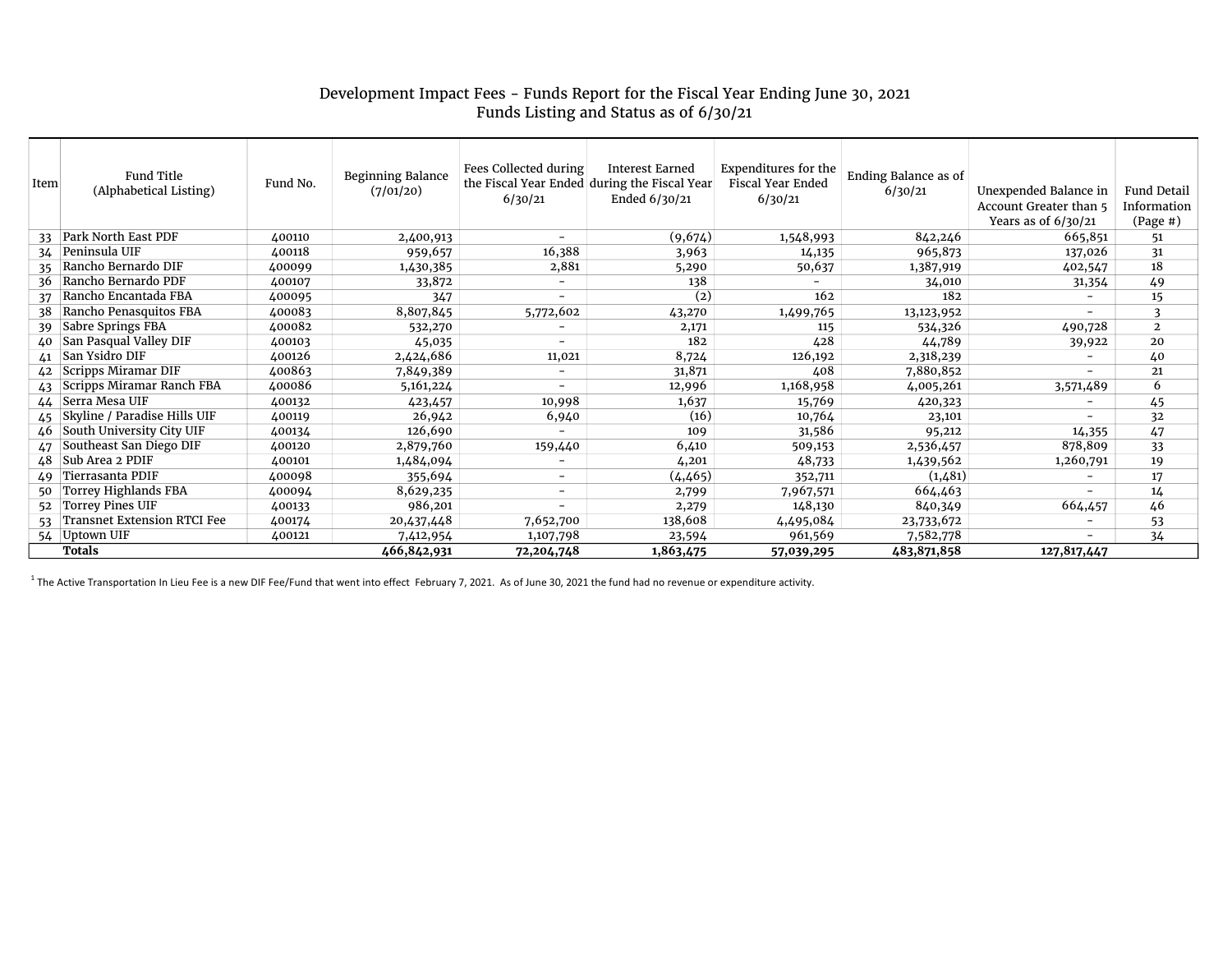## Development Impact Fees - Funds Report for the Fiscal Year Ending June 30, 2021 Funds Listing and Status as of 6/30/21

| Item   | Fund Title<br>(Alphabetical Listing) | Fund No. | <b>Beginning Balance</b><br>(7/01/20) | Fees Collected during<br>the Fiscal Year Ended during the Fiscal Year<br>6/30/21 | Interest Earned<br>Ended 6/30/21 | Expenditures for the<br><b>Fiscal Year Ended</b><br>6/30/21 | Ending Balance as of<br>6/30/21 | Unexpended Balance in<br>Account Greater than 5<br>Years as of $6/30/21$ | <b>Fund Detail</b><br>Information<br>$(Page \#)$ |
|--------|--------------------------------------|----------|---------------------------------------|----------------------------------------------------------------------------------|----------------------------------|-------------------------------------------------------------|---------------------------------|--------------------------------------------------------------------------|--------------------------------------------------|
| 33     | Park North East PDF                  | 400110   | 2,400,913                             | $\overline{\phantom{a}}$                                                         | (9,674)                          | 1,548,993                                                   | 842,246                         | 665,851                                                                  | 51                                               |
| 34     | Peninsula UIF                        | 400118   | 959,657                               | 16,388                                                                           | 3,963                            | 14,135                                                      | 965,873                         | 137,026                                                                  | 31                                               |
| 35     | Rancho Bernardo DIF                  | 400099   | 1,430,385                             | 2,881                                                                            | 5,290                            | 50,637                                                      | 1,387,919                       | 402,547                                                                  | 18                                               |
| 36     | Rancho Bernardo PDF                  | 400107   | 33,872                                | $\overline{\phantom{a}}$                                                         | 138                              |                                                             | 34,010                          | 31,354                                                                   | 49                                               |
| 37     | Rancho Encantada FBA                 | 400095   | 347                                   |                                                                                  | $\left( 2\right)$                | 162                                                         | 182                             |                                                                          | 15                                               |
| 38     | Rancho Penasquitos FBA               | 400083   | 8,807,845                             | 5,772,602                                                                        | 43,270                           | 1,499,765                                                   | 13,123,952                      | -                                                                        | 3                                                |
| 39     | Sabre Springs FBA                    | 400082   | 532,270                               |                                                                                  | 2,171                            | 115                                                         | 534,326                         | 490,728                                                                  | $\overline{2}$                                   |
| 40     | San Pasqual Valley DIF               | 400103   | 45,035                                |                                                                                  | 182                              | 428                                                         | 44,789                          | 39,922                                                                   | 20                                               |
| 41     | San Ysidro DIF                       | 400126   | 2,424,686                             | 11,021                                                                           | 8,724                            | 126,192                                                     | 2,318,239                       |                                                                          | 40                                               |
| 42     | Scripps Miramar DIF                  | 400863   | 7,849,389                             | $\overline{\phantom{a}}$                                                         | 31,871                           | 408                                                         | 7,880,852                       | ۰.                                                                       | 21                                               |
| 43     | Scripps Miramar Ranch FBA            | 400086   | 5,161,224                             |                                                                                  | 12,996                           | 1,168,958                                                   | 4,005,261                       | 3,571,489                                                                | 6                                                |
| 44     | Serra Mesa UIF                       | 400132   | 423,457                               | 10,998                                                                           | 1,637                            | 15,769                                                      | 420,323                         |                                                                          | 45                                               |
| 45     | Skyline / Paradise Hills UIF         | 400119   | 26,942                                | 6,940                                                                            | (16)                             | 10,764                                                      | 23,101                          |                                                                          | 32                                               |
| 46     | South University City UIF            | 400134   | 126,690                               |                                                                                  | 109                              | 31,586                                                      | 95,212                          | 14,355                                                                   | 47                                               |
| 47     | Southeast San Diego DIF              | 400120   | 2,879,760                             | 159,440                                                                          | 6,410                            | 509,153                                                     | 2,536,457                       | 878,809                                                                  | 33                                               |
| 48     | Sub Area 2 PDIF                      | 400101   | 1,484,094                             |                                                                                  | 4,201                            | 48,733                                                      | 1,439,562                       | 1,260,791                                                                | 19                                               |
| 49     | Tierrasanta PDIF                     | 400098   | 355,694                               | $\overline{\phantom{a}}$                                                         | (4, 465)                         | 352,711                                                     | (1,481)                         |                                                                          | 17                                               |
| 50     | Torrey Highlands FBA                 | 400094   | 8,629,235                             | $\overline{\phantom{a}}$                                                         | 2,799                            | 7,967,571                                                   | 664,463                         | -                                                                        | 14                                               |
| 52     | Torrey Pines UIF                     | 400133   | 986,201                               |                                                                                  | 2,279                            | 148,130                                                     | 840,349                         | 664,457                                                                  | 46                                               |
| 53     | <b>Transnet Extension RTCI Fee</b>   | 400174   | 20,437,448                            | 7,652,700                                                                        | 138,608                          | 4,495,084                                                   | 23,733,672                      | Ξ.                                                                       | 53                                               |
|        | 54 Uptown UIF                        | 400121   | 7,412,954                             | 1,107,798                                                                        | 23,594                           | 961,569                                                     | 7,582,778                       | $\overline{\phantom{0}}$                                                 | 34                                               |
| Totals |                                      |          | 466,842,931                           | 72,204,748                                                                       | 1,863,475                        | 57,039,295                                                  | 483,871,858                     | 127,817,447                                                              |                                                  |

<sup>1</sup> The Active Transportation In Lieu Fee is a new DIF Fee/Fund that went into effect February 7, 2021. As of June 30, 2021 the fund had no revenue or expenditure activity.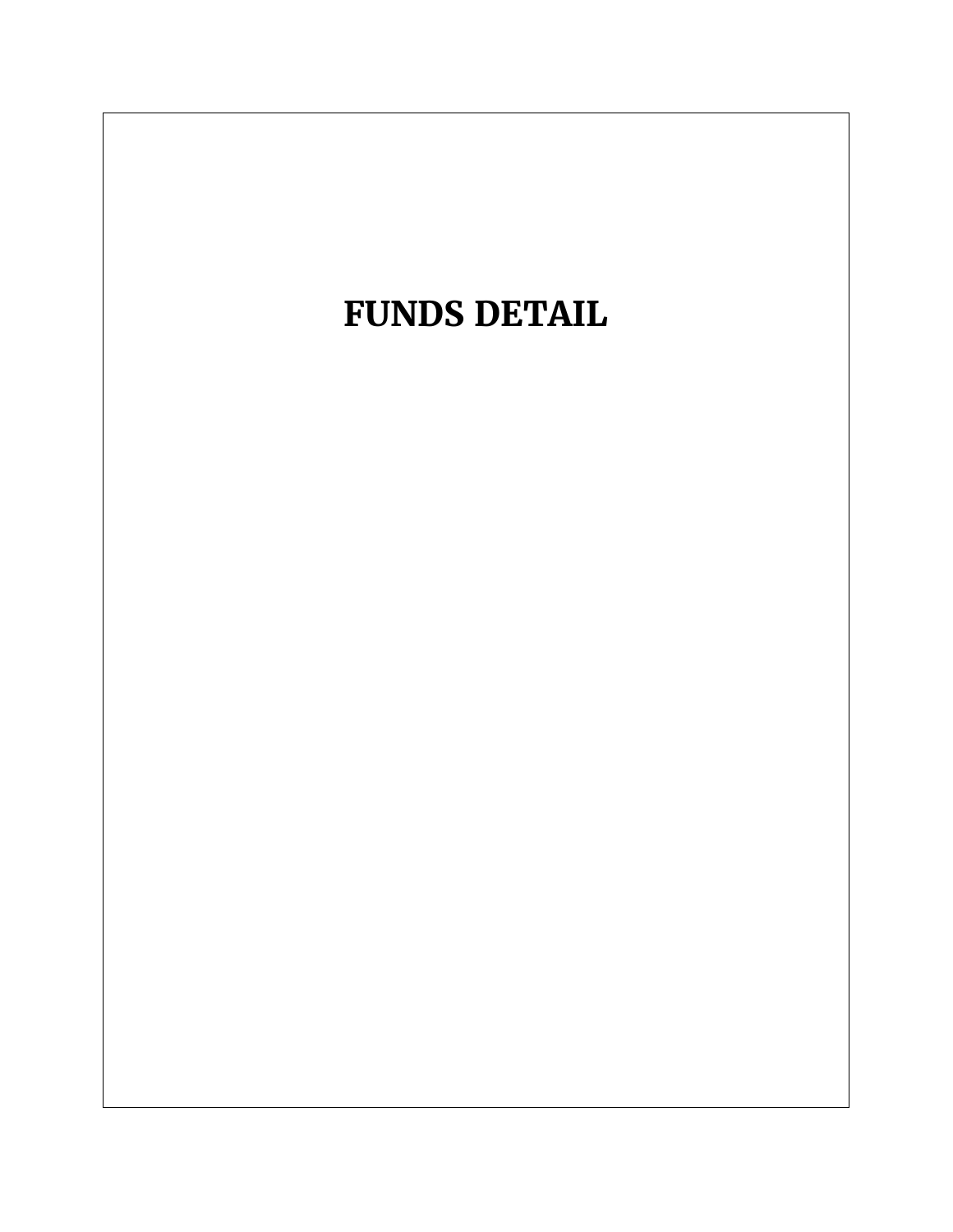